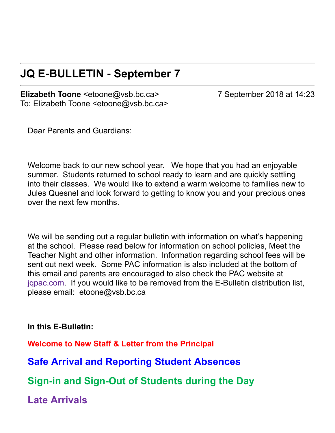#### **JQ E-BULLETIN - September 7**

**Elizabeth Toone** <etoone@vsb.bc.ca> 7 September 2018 at 14:23 To: Elizabeth Toone <etoone@vsb.bc.ca>

Dear Parents and Guardians:

Welcome back to our new school year. We hope that you had an enjoyable summer. Students returned to school ready to learn and are quickly settling into their classes. We would like to extend a warm welcome to families new to Jules Quesnel and look forward to getting to know you and your precious ones over the next few months.

We will be sending out a regular bulletin with information on what's happening at the school. Please read below for information on school policies, Meet the Teacher Night and other information. Information regarding school fees will be sent out next week. Some PAC information is also included at the bottom of this email and parents are encouraged to also check the PAC website at japac.com. If you would like to be removed from the E-Bulletin distribution list, please email: etoone@vsb.bc.ca

In this E-Bulletin:

**Welcome to New Staff & Letter from the Principal**

**Safe Arrival and Reporting Student Absences**

**Sign-in and Sign-Out of Students during the Day** 

**Late Arrivals**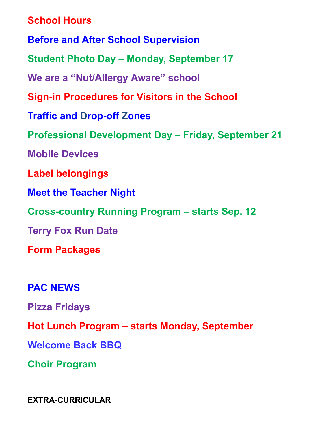**School Hours Before and After School Supervision Student Photo Day – Monday, September 17 We are a "Nut/Allergy Aware" school Sign-in Procedures for Visitors in the School Traffic and Drop-off Zones Professional Development Day – Friday, September 21 Mobile Devices Label belongings Meet the Teacher Night Cross-country Running Program – starts Sep. 12 Terry Fox Run Date Form Packages PAC NEWS**

**Pizza Fridays**

**Hot Lunch Program – starts Monday, September**

**Welcome Back BBQ**

**Choir Program**

**EXTRA-CURRICULAR**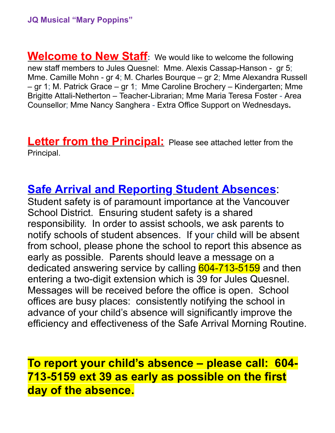**Welcome to New Staff:** We would like to welcome the following new staff members to Jules Quesnel: Mme. Alexis Cassap-Hanson - gr 5; Mme. Camille Mohn - gr 4; M. Charles Bourque – gr 2; Mme Alexandra Russell – gr 1; M. Patrick Grace – gr 1; Mme Caroline Brochery – Kindergarten; Mme Brigitte Attali-Netherton – Teacher-Librarian; Mme Maria Teresa Foster - Area Counsellor; Mme Nancy Sanghera Extra Office Support on Wednesdays**.** 

**Letter from the Principal:** Please see attached letter from the Principal.

#### **Safe Arrival and Reporting Student Absences**:

Student safety is of paramount importance at the Vancouver School District. Ensuring student safety is a shared responsibility. In order to assist schools, we ask parents to notify schools of student absences. If your child will be absent from school, please phone the school to report this absence as early as possible. Parents should leave a message on a dedicated answering service by calling 604-713-5159 and then entering a two-digit extension which is 39 for Jules Quesnel. Messages will be received before the office is open. School offices are busy places: consistently notifying the school in advance of your child's absence will significantly improve the efficiency and effectiveness of the Safe Arrival Morning Routine.

#### **To report your child's absence – please call: 604 7135159 ext 39 as early as possible on the first day of the absence.**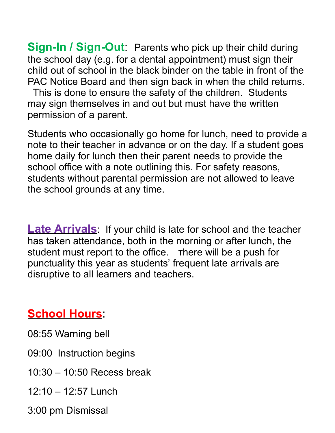**Sign-In / Sign-Out**: Parents who pick up their child during the school day (e.g. for a dental appointment) must sign their child out of school in the black binder on the table in front of the PAC Notice Board and then sign back in when the child returns.

 This is done to ensure the safety of the children. Students may sign themselves in and out but must have the written permission of a parent.

Students who occasionally go home for lunch, need to provide a note to their teacher in advance or on the day. If a student goes home daily for lunch then their parent needs to provide the school office with a note outlining this. For safety reasons, students without parental permission are not allowed to leave the school grounds at any time.

**Late Arrivals**: If your child is late for school and the teacher has taken attendance, both in the morning or after lunch, the student must report to the office. There will be a push for punctuality this year as students' frequent late arrivals are disruptive to all learners and teachers.

#### **School Hours**:

- 08:55 Warning bell
- 09:00 Instruction begins
- 10:30 10:50 Recess break
- 12:10 12:57 Lunch
- 3:00 pm Dismissal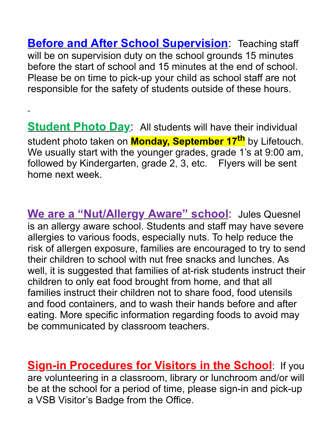**Before and After School Supervision**: Teaching staff will be on supervision duty on the school grounds 15 minutes before the start of school and 15 minutes at the end of school. Please be on time to pick-up your child as school staff are not responsible for the safety of students outside of these hours.

**Student Photo Day**: All students will have their individual student photo taken on **Monday, September 17th** by Lifetouch. We usually start with the younger grades, grade 1's at 9:00 am, followed by Kindergarten, grade 2, 3, etc. Flyers will be sent home next week.

**We are a "Nut/Allergy Aware" school**: Jules Quesnel is an allergy aware school. Students and staff may have severe allergies to various foods, especially nuts. To help reduce the risk of allergen exposure, families are encouraged to try to send their children to school with nut free snacks and lunches. As well, it is suggested that families of at-risk students instruct their children to only eat food brought from home, and that all families instruct their children not to share food, food utensils and food containers, and to wash their hands before and after eating. More specific information regarding foods to avoid may be communicated by classroom teachers.

**<u>Sign-in Procedures for Visitors in the School:</u> If you** are volunteering in a classroom, library or lunchroom and/or will be at the school for a period of time, please sign-in and pick-up a VSB Visitor's Badge from the Office.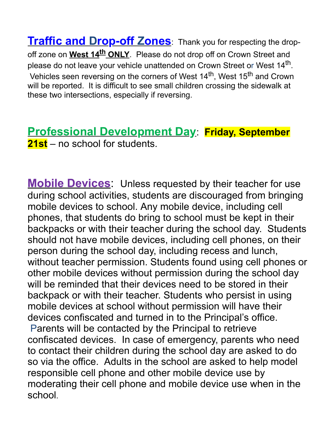**Traffic and Drop-off Zones**: Thank you for respecting the dropoff zone on West 14<sup>th</sup> ONLY. Please do not drop off on Crown Street and please do not leave your vehicle unattended on Crown Street or West 14<sup>th</sup>. Vehicles seen reversing on the corners of West 14<sup>th</sup>, West 15<sup>th</sup> and Crown will be reported. It is difficult to see small children crossing the sidewalk at these two intersections, especially if reversing.

**Professional Development Day**: **Friday, September 21st** – no school for students.

**Mobile Devices**: Unless requested by their teacher for use during school activities, students are discouraged from bringing mobile devices to school. Any mobile device, including cell phones, that students do bring to school must be kept in their backpacks or with their teacher during the school day. Students should not have mobile devices, including cell phones, on their person during the school day, including recess and lunch, without teacher permission. Students found using cell phones or other mobile devices without permission during the school day will be reminded that their devices need to be stored in their backpack or with their teacher. Students who persist in using mobile devices at school without permission will have their devices confiscated and turned in to the Principal's office. Parents will be contacted by the Principal to retrieve confiscated devices. In case of emergency, parents who need to contact their children during the school day are asked to do so via the office. Adults in the school are asked to help model responsible cell phone and other mobile device use by moderating their cell phone and mobile device use when in the school.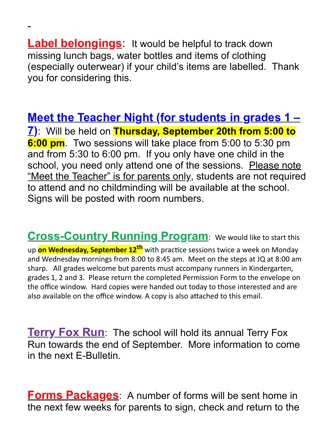**Label belongings**: It would be helpful to track down missing lunch bags, water bottles and items of clothing (especially outerwear) if your child's items are labelled. Thank you for considering this.

**Meet the Teacher Night (for students in grades 1 – 7)**: Will be held on **Thursday, September 20th from 5:00 to 6:00 pm**. Two sessions will take place from 5:00 to 5:30 pm and from 5:30 to 6:00 pm. If you only have one child in the school, you need only attend one of the sessions. Please note "Meet the Teacher" is for parents only, students are not required to attend and no childminding will be available at the school. Signs will be posted with room numbers.

**Cross-Country Running Program:** We would like to start this up **on Wednesday, September 12<sup>th</sup>** with practice sessions twice a week on Monday and Wednesday mornings from 8:00 to 8:45 am. Meet on the steps at JQ at 8:00 am sharp. All grades welcome but parents must accompany runners in Kindergarten, grades 1, 2 and 3. Please return the completed Permission Form to the envelope on the office window. Hard copies were handed out today to those interested and are also available on the office window. A copy is also attached to this email.

**Terry Fox Run**: The school will hold its annual Terry Fox Run towards the end of September. More information to come in the next F-Bulletin.

**Forms Packages**: A number of forms will be sent home in the next few weeks for parents to sign, check and return to the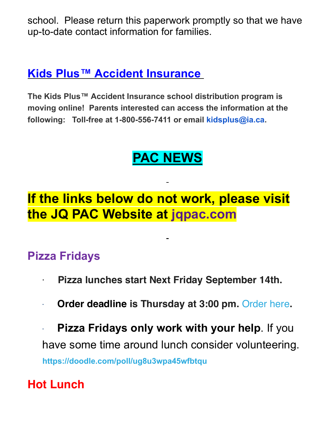school. Please return this paperwork promptly so that we have up-to-date contact information for families.

#### **Kids Plus™ Accident Insurance**

**The Kids Plus™ Accident Insurance school distribution program is moving online! Parents interested can access the information at the** following: Toll-free at 1-800-556-7411 or email kidsplus@ia.ca.

# **PAC NEWS**

## **If the links below do not work, please visit the JQ PAC Website at jqpac.com**

#### **Pizza Fridays**

- · **Pizza lunches start Next Friday September 14th.**
- · **Order deadline is Thursday at 3:00 pm.** Order here**.**

**Pizza Fridays only work with your help.** If you have some time around lunch consider volunteering. **https://doodle.com/poll/ug8u3wpa45wfbtqu**

#### **Hot Lunch**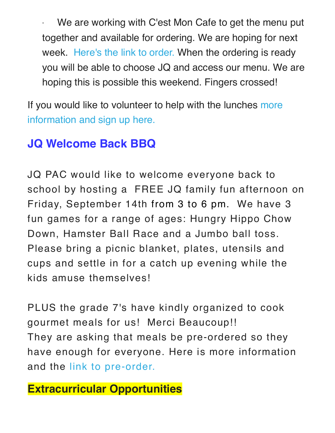We are working with C'est Mon Cafe to get the menu put together and available for ordering. We are hoping for next week. Here's the link to order. When the ordering is ready you will be able to choose JQ and access our menu. We are hoping this is possible this weekend. Fingers crossed!

If you would like to volunteer to help with the lunches more information and sign up here.

## **JQ Welcome Back BBQ**

JQ PAC would like to welcome everyone back to school by hosting a FREE JQ family fun afternoon on Friday, September 14th from 3 to 6 pm. We have 3 fun games for a range of ages: Hungry Hippo Chow Down, Hamster Ball Race and a Jumbo ball toss. Please bring a picnic blanket, plates, utensils and cups and settle in for a catch up evening while the kids amuse themselves!

PLUS the grade 7's have kindly organized to cook gourmet meals for us! Merci Beaucoup!! They are asking that meals be pre-ordered so they have enough for everyone. Here is more information and the link to pre-order.

#### **Extracurricular Opportunities**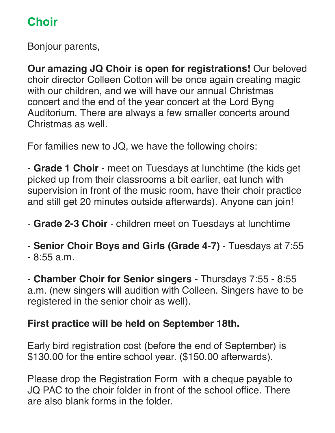### **Choir**

Bonjour parents,

**Our amazing JQ Choir is open for registrations!** Our beloved choir director Colleen Cotton will be once again creating magic with our children, and we will have our annual Christmas concert and the end of the year concert at the Lord Byng Auditorium. There are always a few smaller concerts around Christmas as well.

For families new to JQ, we have the following choirs:

- **Grade 1 Choir** - meet on Tuesdays at lunchtime (the kids get picked up from their classrooms a bit earlier, eat lunch with supervision in front of the music room, have their choir practice and still get 20 minutes outside afterwards). Anyone can join!

- **Grade 2-3 Choir** - children meet on Tuesdays at lunchtime

- **Senior Choir Boys and Girls (Grade 4-7)** - Tuesdays at 7:55 - 8:55 a.m.

- **Chamber Choir for Senior singers** - Thursdays 7:55 - 8:55 a.m. (new singers will audition with Colleen. Singers have to be registered in the senior choir as well).

#### **First practice will be held on September 18th.**

Early bird registration cost (before the end of September) is \$130.00 for the entire school year. (\$150.00 afterwards).

Please drop the Registration Form with a cheque payable to JQ PAC to the choir folder in front of the school office. There are also blank forms in the folder.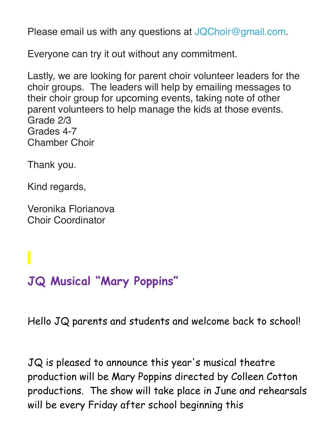Please email us with any questions at JQChoir@gmail.com.

Everyone can try it out without any commitment.

Lastly, we are looking for parent choir volunteer leaders for the choir groups. The leaders will help by emailing messages to their choir group for upcoming events, taking note of other parent volunteers to help manage the kids at those events. Grade 2/3 Grades 4-7 Chamber Choir

Thank you.

Kind regards,

Veronika Florianova Choir Coordinator

# **JQ Musical "Mary Poppins "**

Hello JQ parents and students and welcome back to school!

JQ is pleased to announce this year's musical theatre production will be Mary Poppins directed by Colleen Cotton productions. The show will take place in June and rehearsals will be every Friday after school beginning this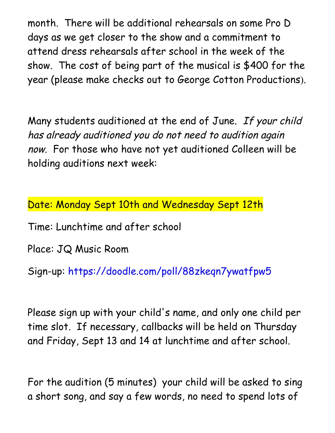month. There will be additional rehearsals on some Pro D days as we get closer to the show and a commitment to attend dress rehearsals after school in the week of the show. The cost of being part of the musical is \$400 for the year (please make checks out to George Cotton Productions).

Many students auditioned at the end of June. If your child has already auditioned you do not need to audition again now. For those who have not yet auditioned Colleen will be holding auditions next week:

Date: Monday Sept 10th and Wednesday Sept 12th

Time: Lunchtime and after school

Place: JQ Music Room

Sign-up: https://doodle.com/poll/88zkeqn7ywatfpw5

Please sign up with your child's name, and only one child per time slot. If necessary, callbacks will be held on Thursday and Friday, Sept 13 and 14 at lunchtime and after school.

For the audition (5 minutes) your child will be asked to sing a short song, and say a few words, no need to spend lots of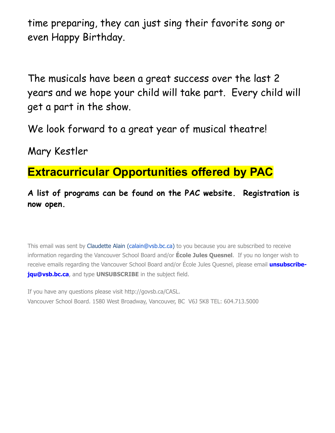time preparing, they can just sing their favorite song or even Happy Birthday.

The musicals have been a great success over the last 2 years and we hope your child will take part. Every child will get a part in the show.

We look forward to a great year of musical theatre!

Mary Kestler

#### **Extracurricular Opportunities offered by PAC**

**A list of programs can be found on the PAC website. Registration is now open.**

This email was sent by Claudette Alain (calain@vsb.bc.ca) to you because you are subscribed to receive information regarding the Vancouver School Board and/or **École Jules Quesnel**. If you no longer wish to receive emails regarding the Vancouver School Board and/or École Jules Quesnel, please email **unsubscribejqu@vsb.bc.ca**, and type **UNSUBSCRIBE** in the subject field.

If you have any questions please visit http://govsb.ca/CASL. Vancouver School Board. 1580 West Broadway, Vancouver, BC V6J 5K8 TEL: 604.713.5000